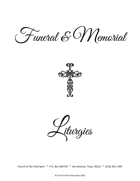Funeral & Memorial



Liturgies

Church of the Holy Spirit \* P.O. Box 460729 \* San Antonio, Texas 78216 \* [210] 341-1395

© Church of the Holy Spirit 2020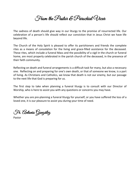From the Pastor & Parochial Vicar

The sadness of death should give way in our liturgy to the promise of resurrected life. Our celebration of a person's life should reflect our conviction that in Jesus Christ we have life beyond life.

The Church of the Holy Spirit is pleased to offer its parishioners and friends the complete rites as a means of consolation for the living and grace-filled assistance for the deceased. These rites, which include a funeral Mass and the possibility of a vigil in the church or funeral home, are most properly celebrated in the parish church of the deceased, in the presence of their faith community.

Reflecting on death and funeral arrangements is a difficult task for many, but also a necessary one. Reflecting on and preparing for one's own death, or that of someone we know, is a part of living. As Christians and Catholics, we know that death is not our enemy, but our passage to the next life that God is preparing for us.

The first step to take when planning a funeral liturgy is to consult with our Director of Worship, who is here to assist you with any questions or concerns you may have.

Whether you are pre-planning a funeral liturgy for yourself, or you have suffered the loss of a loved one, it is our pleasure to assist you during your time of need.

Fr. Antonio González

Pastor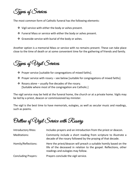Types of Services

The most common form of Catholic funeral has the following elements:

- ❖ Vigil service with either the body or ashes present.
- ❖ Funeral Mass or service with either the body or ashes present.
- $\cdot \cdot$  Graveside service with burial of the body or ashes.

Another option is a memorial Mass or service with no remains present. These can take place close to the time of death or at some convenient time for the gathering of friends and family.

Types of Vigil Services

- \* Prayer service [suitable for congregations of mixed faiths].
- $\cdot$  Prayer service with rosary see below [suitable for congregations of mixed faiths].
- $\cdot$  Rosary alone usually five decades of the rosary. [Suitable where most of the congregation are Catholic.]

The vigil service may be held at the funeral home, the church or at a private home. Vigils may be led by a priest, deacon or commissioned lay minister.

The vigil is the best time to have memorials, eulogies, as well as secular music and readings, such as poems.

Outline of Vigil Service with Rosary

| <b>Introductory Rites:</b> | Includes prayers and an introduction from the priest or deacon.                                                                                                              |
|----------------------------|------------------------------------------------------------------------------------------------------------------------------------------------------------------------------|
| Meditations:               | Commonly include a short reading from scripture to illustrate a<br>decade of the rosary followed by the praying of that decade.                                              |
| Homily/Reflections:        | Here the priest/deacon will preach a suitable homily based on the<br>life of the deceased in relation to the gospel. Reflections, other<br>readings and eulogies may follow. |
| <b>Concluding Prayers:</b> | Prayers conclude the vigil service.                                                                                                                                          |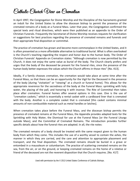# Catholic Church View on Cremation

In April 1997, the Congregation for Divine Worship and the Discipline of the Sacraments granted an indult for the United States to allow the diocesan bishop to permit the presence of the cremated remains of a body at a Funeral Mass. Later that year, the Congregation confirmed the special texts and ritual directives, which were then published as an appendix to the Order of Christian Funerals. Frequently the Secretariat of Divine Worship receives requests for clarification or suggestions for best practices regarding the presence of cremated remains and funerals and their appropriate final disposition or committal.

The practice of cremation has grown and become more commonplace in the United States, and it is often presented as a more affordable alternative to traditional burial. What is often overlooked is the Church's teaching regarding the respect and honor due to the human body. The Order of Christian Funerals' Appendix on Cremation states: "Although cremation is now permitted by the Church, it does not enjoy the same value as burial of the body. The Church clearly prefers and urges that the body of the deceased be present for the funeral rites, since the presence of the human body better expresses the values which the Church affirms in those rites" [No. 413].

Ideally, if a family chooses cremation, the cremation would take place at some time after the Funeral Mass, so that there can be an opportunity for the Vigil for the Deceased in the presence of the body [during "visitation" or "viewing" at a church or funeral home]. This allows for the appropriate reverence for the sacredness of the body at the Funeral Mass: sprinkling with holy water, the placing of the pall, and honoring it with incense. The Rite of Committal then takes place after cremation. Funeral homes offer several options in this case. One is the use of "cremation caskets," which is essentially a rental casket with a cardboard liner that is cremated with the body. Another is a complete casket that is cremated [this casket contains minimal amounts of non-combustible material such as metal handles or latches].

When cremation takes place before the Funeral Mass, and the diocesan bishop permits the presence of cremated remains at the Funeral Mass, the Appendix provides adapted texts for the Sprinkling with Holy Water, the Dismissal for use at the Funeral Mass [or the Funeral Liturgy outside Mass], and the Committal of Cremated Remains. The introduction provides further specific details about how the funeral rites are adapted. In all, the rite notes:

The cremated remains of a body should be treated with the same respect given to the human body from which they come. This includes the use of a worthy vessel to contain the ashes, the manner in which they are carried, and the care and attention to appropriate placement and transport, and the final disposition. The cremated remains should be buried in a grave or entombed in a mausoleum or columbarium. The practice of scattering cremated remains on the sea, from the air, or on the ground, or keeping cremated remains on the home of a relative or friend of the deceased are not the reverent disposition that the Church requires. [No. 417]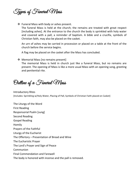Types of Funeral Mass

❖ Funeral Mass with body or ashes present.

The funeral Mass is held at the church; the remains are treated with great respect [including ashes]. At the entrance to the church the body is sprinkled with holy water and covered with a pall, a reminder of baptism. A bible and a crucifix, symbols of Christian faith, may also be placed on the casket.

An urn of ashes may be carried in procession or placed on a table at the front of the church before the service begins.

A flag may be placed on the casket after the Mass has concluded.

❖ Memorial Mass [no remains present]

The memorial Mass is held in church just like a funeral Mass, but no remains are present. The opening of Mass is like a more usual Mass with an opening song, greeting and penitential rite.

Outline of a Funeral Mass

Introductory Rites [Includes: Sprinkling w/Holy Water, Placing of Pall, Symbols of Christian Faith placed on Casket]

The Liturgy of the Word First Reading Responsorial Psalm [sung] Second Reading Gospel Reading Homily Prayers of the Faithful Liturgy of the Eucharist The Offertory – Presentation of Bread and Wine The Eucharistic Prayer The Lord's Prayer and Sign of Peace Communion Final Commendation and Farewell The body is honored with incense and the pall is removed.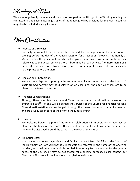# Readings at Mass

We encourage family members and friends to take part in the Liturgy of the Word by reading the First Reading and Second Reading. Copies of the readings will be provided for the Mass. Readings may also be included in a vigil service.

Other Considerations

# ❖ Tributes and Eulogies:

Normally individual tributes should be reserved for the vigil service the afternoon or evening before the day of the Funeral Mass or for a reception following. The homily at Mass is when the priest will preach on the gospel you have chosen and make specific references to the deceased. One short tribute may be read at Mass [no more than 2 or 3 minutes]. This is best read from a script, and it is very helpful if a copy of this is available to the priest before the Mass.

❖ Displays and Photographs:

We welcome displays of photographs and memorabilia at the entrance to the Church. A single framed portrait may be displayed on an easel near the altar, all others are to be placed in the foyer of the church.

# Financial Considerations:

Although there is no fee for a funeral Mass, the recommended donation for use of the church is  $$150^{\circ}$ . No one will be denied the services of the Church for financial reasons. These donations/stipends may be paid through the funeral home or by a family member and are usually taken care of the prior to the funeral liturgy.

# ❖ Flowers:

We welcome flowers as part of the funeral celebration – in moderation – they may be placed in the foyer of the church. During Lent, we do not use flowers on the altar, but they can be displayed around the casket in the foyer of the church.

# ❖ Memorial Gifts:

You may wish to encourage friends and family to make Memorial Gifts to the Church of the Holy Spirit or Holy Spirit School. These gifts are received in the name of the one who has died, and the immediate family is notified. Memorial gifts may be used for the general needs of the church, or may be designated for a specific purpose. Please contact our Director of Finance, who will be more than glad to assist you.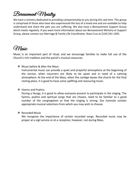# Bereavement Ministry

We have a ministry dedicated to providing companionship to you during this sad time. This group is comprised of those who have also experienced the loss of a loved one and are available to help understand and share the pain you are suffering. We also have a Bereavement Support Group which meets regularly. If you want more information about our Bereavement Ministry or Support Group, please contact our Marriage & Family Life Coordinator, Rose Cruz at [210] 341-1395.

# *SYNusic*

Music is an important part of ritual, and we encourage families to make full use of the Church's rich tradition and the parish's musical resources.

❖ Music before & after the Mass:

Instrumental music can provide a quiet and prayerful atmosphere at the beginning of the service, when mourners are likely to be upset and in need of a calming atmosphere. At the end of the Mass, when the cortège leaves the church for the final resting place, it is good to have some uplifting and reassuring music.

# ❖ Hymns and Psalms:

During a liturgy, it is good to allow everyone present to participate in the singing. The hymns, psalms and spiritual songs that are chosen, need to be familiar to a good number of the congregation so that the singing is strong. Our hymnals contain appropriate musical selections from which you may wish to choose.

# ❖ Recorded Music

We recognize the importance of certain recorded songs. Recorded music may be proper at a vigil service or at a reception, however, not during Mass.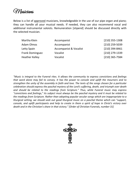Musicians

Below is a list of approved musicians, knowledgeable in the use of our pipe organ and piano; they can handle all your musical needs. If needed, they can also recommend vocal and additional instrumental soloists. Remuneration [stipend] should be discussed directly with the selected musician.

| Martha Klein           | Accompanist                       | $[210]$ 355-1308 |
|------------------------|-----------------------------------|------------------|
| Adam Olmos             | Accompanist                       | [210] 259-5039   |
| Letty Spain            | <b>Accompanist &amp; Vocalist</b> | [210] 394-8461   |
| <b>Frank Dominguez</b> | Vocalist                          | [210] 279-1339   |
| <b>Heather Kelley</b>  | Vocalist                          | [210] 365-7584   |

*"Music is integral to the Funeral rites. It allows the community to express convictions and feelings that word alone may fail to convey. It has the power to console and uplift the mourners and to strengthen the unity of the assembly in faith and love. The texts of the songs chosen for a particular celebration should express the paschal mystery of the Lord's suffering, death, and triumph over death and should be related to the readings from Scripture." Thus, while Funeral music may express "convictions and feelings," its subject must always be the paschal mystery and it must be related to the readings from Scripture. Rather than adopting popular secular songs which are inappropriate to a liturgical setting, we should seek out good liturgical music on a paschal theme which can "support, console, and uplift participants and help to create in them a spirit of hope in Christ's victory over death and in the Christian's share in that victory." [Order of Christian Funerals, number 31]* 

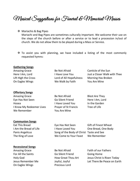Musical Suggestions for Funeral & Memorial Masses

❖ Mariachis & Bag Pipes

Mariachi and Bag Pipes are sometimes culturally important. We welcome their use on the steps of the church before or after a service or to lead a procession in/out of church. We do not allow them to be played during a Mass or Service.

 $\cdot$  To assist you with planning, we have included a listing of the most commonly requested hymns:

#### **Gathering Songs**

Amazing Grace The Sun Be Not Afraid Canticle of the Sun Here I Am, Lord **I Have Love You** Just a Closer Walk with Thee Lift High the Cross Lord of All Hopefulness Morning Has Broken On Eagles Wings We Walk by Faith You Are Mine

#### **Offertory Songs**

Amazing Grace **Be Not Afraid** Blest Are They Eye Has Not Seen Go Silent Friend Here I Am, Lord Hosea I Have Loved You In the Garden I Know My Redeemer Lives Prayer of St Francis Tree of Life We Remember **You Are Mine** 

#### **Communion Songs**

Eat This Bread Eye Has Not Seen Gift of Finest Wheat I Am the Bread of Life I Have Loved You Che Bread, One Body Panis Angelicus Song of the Body of Christ Taste and See The King of Love We Come to Your Feast We Remember

#### **Recessional Songs**

For All the Saints Go Silent Friend Going Home On Eagles Wings **Precious Lord** 

Amazing Grace **Be Not Afraid** Faith of our Fathers

Holy God How Great Thou Art Jesus Christ is Risen Today Jesus Remember Me Joyful, Joyful Let There Be Peace on Earth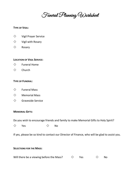Funeral Planning Worksheet

## **TYPE OF VIGIL:**

- $\diamondsuit$  Vigil Prayer Service
- $\diamondsuit$  Vigil with Rosary
- $\diamond$  Rosary

## **LOCATION OF VIGIL SERVICE:**

- $\Diamond$  Funeral Home
- $\diamond$  Church

## **TYPE OF FUNERAL:**

- $\diamondsuit$  Funeral Mass
- $\diamondsuit$  Memorial Mass
- $\diamondsuit$  Graveside Service

#### **MEMORIAL GIFTS:**

Do you wish to encourage friends and family to make Memorial Gifts to Holy Spirit?

 $\diamondsuit$  Yes  $\diamondsuit$  No

If yes, please be so kind to contact our Director of Finance, who will be glad to assist you.

## **SELECTIONS FOR THE MASS:**

Will there be a viewing before the Mass?  $\Diamond$  Yes  $\Diamond$  No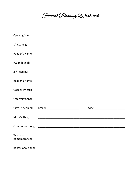Funeral Planning Worksheet

| Opening Song:            |                                                                                                                       |  |
|--------------------------|-----------------------------------------------------------------------------------------------------------------------|--|
|                          |                                                                                                                       |  |
| $1st$ Reading:           | <u> 1989 - Johann Stoff, deutscher Stoff, der Stoff, der Stoff, der Stoff, der Stoff, der Stoff, der Stoff, der S</u> |  |
| Reader's Name:           |                                                                                                                       |  |
| Psalm [Sung]:            |                                                                                                                       |  |
| $2nd$ Reading:           |                                                                                                                       |  |
| Reader's Name:           |                                                                                                                       |  |
| Gospel [Priest]:         |                                                                                                                       |  |
| Offertory Song:          | <u> 1989 - Johann Stoff, amerikan bestein de stad in de stad in de stad in de stad in de stad in de stad in de s</u>  |  |
| Gifts [2 people]:        |                                                                                                                       |  |
| Mass Setting:            |                                                                                                                       |  |
|                          |                                                                                                                       |  |
| Words of<br>Remembrance: | <u> 1989 - Johann Stoff, amerikansk politiker (d. 1989)</u>                                                           |  |
| <b>Recessional Song:</b> |                                                                                                                       |  |